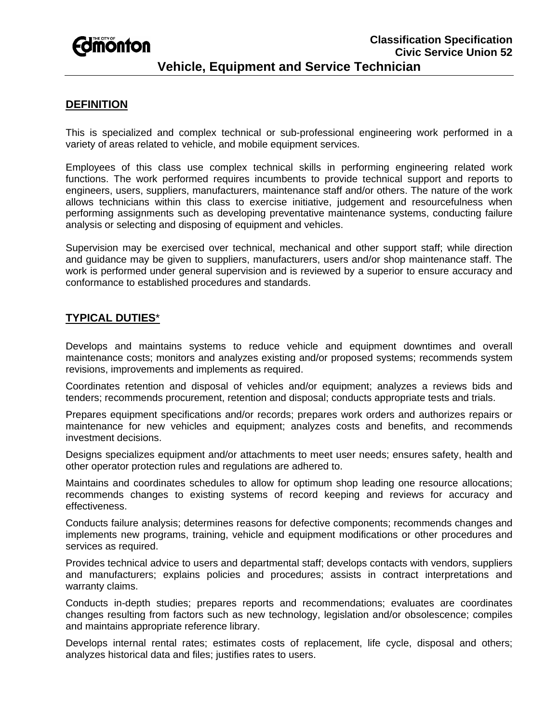# **Edinonton**

#### **DEFINITION**

This is specialized and complex technical or sub-professional engineering work performed in a variety of areas related to vehicle, and mobile equipment services.

Employees of this class use complex technical skills in performing engineering related work functions. The work performed requires incumbents to provide technical support and reports to engineers, users, suppliers, manufacturers, maintenance staff and/or others. The nature of the work allows technicians within this class to exercise initiative, judgement and resourcefulness when performing assignments such as developing preventative maintenance systems, conducting failure analysis or selecting and disposing of equipment and vehicles.

Supervision may be exercised over technical, mechanical and other support staff; while direction and guidance may be given to suppliers, manufacturers, users and/or shop maintenance staff. The work is performed under general supervision and is reviewed by a superior to ensure accuracy and conformance to established procedures and standards.

### **TYPICAL DUTIES**\*

Develops and maintains systems to reduce vehicle and equipment downtimes and overall maintenance costs; monitors and analyzes existing and/or proposed systems; recommends system revisions, improvements and implements as required.

Coordinates retention and disposal of vehicles and/or equipment; analyzes a reviews bids and tenders; recommends procurement, retention and disposal; conducts appropriate tests and trials.

Prepares equipment specifications and/or records; prepares work orders and authorizes repairs or maintenance for new vehicles and equipment; analyzes costs and benefits, and recommends investment decisions.

Designs specializes equipment and/or attachments to meet user needs; ensures safety, health and other operator protection rules and regulations are adhered to.

Maintains and coordinates schedules to allow for optimum shop leading one resource allocations; recommends changes to existing systems of record keeping and reviews for accuracy and effectiveness.

Conducts failure analysis; determines reasons for defective components; recommends changes and implements new programs, training, vehicle and equipment modifications or other procedures and services as required.

Provides technical advice to users and departmental staff; develops contacts with vendors, suppliers and manufacturers; explains policies and procedures; assists in contract interpretations and warranty claims.

Conducts in-depth studies; prepares reports and recommendations; evaluates are coordinates changes resulting from factors such as new technology, legislation and/or obsolescence; compiles and maintains appropriate reference library.

Develops internal rental rates; estimates costs of replacement, life cycle, disposal and others; analyzes historical data and files; justifies rates to users.